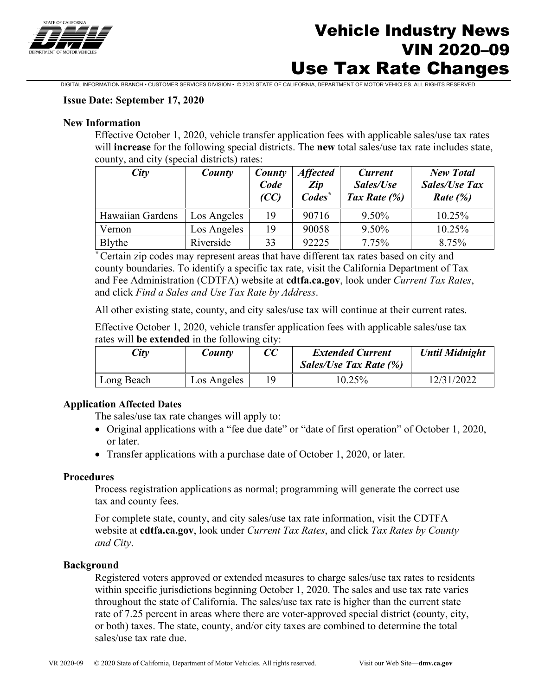

# Vehicle Industry News VIN 2020–09 Use Tax Rate Changes

DIGITAL INFORMATION BRANCH • CUSTOMER SERVICES DIVISION • © 2020 STATE OF CALIFORNIA, DEPARTMENT OF MOTOR VEHICLES. ALL RIGHTS RESERVED.

### **Issue Date: September 17, 2020**

### **New Information**

Effective October 1, 2020, vehicle transfer application fees with applicable sales/use tax rates will **increase** for the following special districts. The **new** total sales/use tax rate includes state, county, and city (special districts) rates:

| City             | County      | County<br>Code<br>(CC) | <b>Affected</b><br>Zip<br>Codes <sup>*</sup> | <b>Current</b><br>Sales/Use<br>Tax Rate $(\%)$ | <b>New Total</b><br><b>Sales/Use Tax</b><br><i>Rate</i> $(\%)$ |
|------------------|-------------|------------------------|----------------------------------------------|------------------------------------------------|----------------------------------------------------------------|
| Hawaiian Gardens | Los Angeles | 19                     | 90716                                        | 9.50%                                          | 10.25%                                                         |
| Vernon           | Los Angeles | 19                     | 90058                                        | 9.50%                                          | 10.25%                                                         |
| Blythe           | Riverside   | 33                     | 92225                                        | 7.75%                                          | 8.75%                                                          |

*\** Certain zip codes may represent areas that have different tax rates based on city and county boundaries. To identify a specific tax rate, visit the California Department of Tax and Fee Administration (CDTFA) website at **cdtfa.ca.gov**, look under *Current Tax Rates*, and click *Find a Sales and Use Tax Rate by Address*.

All other existing state, county, and city sales/use tax will continue at their current rates.

Effective October 1, 2020, vehicle transfer application fees with applicable sales/use tax rates will **be extended** in the following city:

| City       | County      | <b>Extended Current</b><br><b>Sales/Use Tax Rate (%)</b> | <b>Until Midnight</b> |
|------------|-------------|----------------------------------------------------------|-----------------------|
| Long Beach | Los Angeles | 10.25%                                                   | 12/31/2022            |

### **Application Affected Dates**

The sales/use tax rate changes will apply to:

- Original applications with a "fee due date" or "date of first operation" of October 1, 2020, or later.
- Transfer applications with a purchase date of October 1, 2020, or later.

### **Procedures**

Process registration applications as normal; programming will generate the correct use tax and county fees.

For complete state, county, and city sales/use tax rate information, visit the CDTFA website at **cdtfa.ca.gov**, look under *Current Tax Rates*, and click *Tax Rates by County and City*.

### **Background**

Registered voters approved or extended measures to charge sales/use tax rates to residents within specific jurisdictions beginning October 1, 2020. The sales and use tax rate varies throughout the state of California. The sales/use tax rate is higher than the current state rate of 7.25 percent in areas where there are voter-approved special district (county, city, or both) taxes. The state, county, and/or city taxes are combined to determine the total sales/use tax rate due.